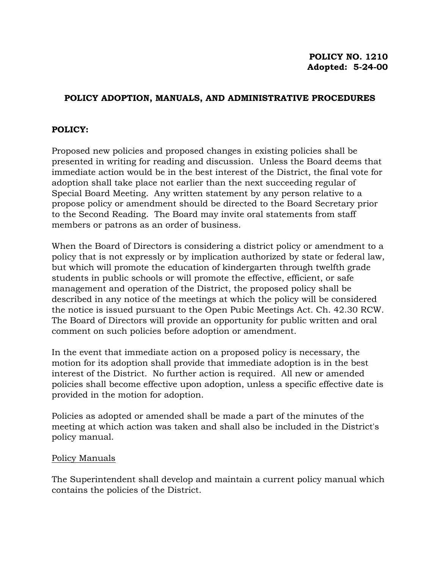## **POLICY ADOPTION, MANUALS, AND ADMINISTRATIVE PROCEDURES**

## **POLICY:**

Proposed new policies and proposed changes in existing policies shall be presented in writing for reading and discussion. Unless the Board deems that immediate action would be in the best interest of the District, the final vote for adoption shall take place not earlier than the next succeeding regular of Special Board Meeting. Any written statement by any person relative to a propose policy or amendment should be directed to the Board Secretary prior to the Second Reading. The Board may invite oral statements from staff members or patrons as an order of business.

When the Board of Directors is considering a district policy or amendment to a policy that is not expressly or by implication authorized by state or federal law, but which will promote the education of kindergarten through twelfth grade students in public schools or will promote the effective, efficient, or safe management and operation of the District, the proposed policy shall be described in any notice of the meetings at which the policy will be considered the notice is issued pursuant to the Open Pubic Meetings Act. Ch. 42.30 RCW. The Board of Directors will provide an opportunity for public written and oral comment on such policies before adoption or amendment.

In the event that immediate action on a proposed policy is necessary, the motion for its adoption shall provide that immediate adoption is in the best interest of the District. No further action is required. All new or amended policies shall become effective upon adoption, unless a specific effective date is provided in the motion for adoption.

Policies as adopted or amended shall be made a part of the minutes of the meeting at which action was taken and shall also be included in the District's policy manual.

## Policy Manuals

The Superintendent shall develop and maintain a current policy manual which contains the policies of the District.